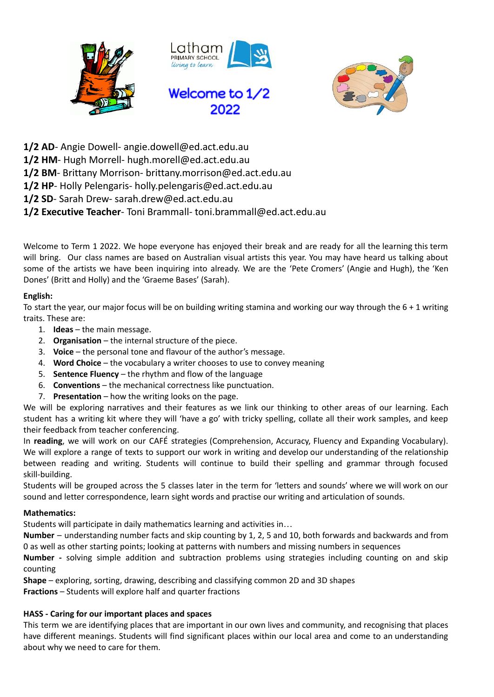



- **1/2 AD** Angie Dowell- angie.dowell@ed.act.edu.au
- **1/2 HM** Hugh Morrell- hugh.morell@ed.act.edu.au
- **1/2 BM** Brittany Morrison- brittany.morrison@ed.act.edu.au
- **1/2 HP** Holly Pelengaris- holly.pelengaris@ed.act.edu.au
- **1/2 SD** Sarah Drew- sarah.drew@ed.act.edu.au

# **1/2 Executive Teacher**- Toni Brammall- toni.brammall@ed.act.edu.au

Welcome to Term 1 2022. We hope everyone has enjoyed their break and are ready for all the learning this term will bring. Our class names are based on Australian visual artists this year. You may have heard us talking about some of the artists we have been inquiring into already. We are the 'Pete Cromers' (Angie and Hugh), the 'Ken Dones' (Britt and Holly) and the 'Graeme Bases' (Sarah).

# **English:**

To start the year, our major focus will be on building writing stamina and working our way through the  $6 + 1$  writing traits. These are:

- 1. **Ideas** the main message.
- 2. **Organisation** the internal structure of the piece.
- 3. **Voice** the personal tone and flavour of the author's message.
- 4. **Word Choice** the vocabulary a writer chooses to use to convey meaning
- 5. **Sentence Fluency** the rhythm and flow of the language
- 6. **Conventions** the mechanical correctness like punctuation.
- 7. **Presentation** how the writing looks on the page.

We will be exploring narratives and their features as we link our thinking to other areas of our learning. Each student has a writing kit where they will 'have a go' with tricky spelling, collate all their work samples, and keep their feedback from teacher conferencing.

In **reading**, we will work on our CAFÉ strategies (Comprehension, Accuracy, Fluency and Expanding Vocabulary). We will explore a range of texts to support our work in writing and develop our understanding of the relationship between reading and writing. Students will continue to build their spelling and grammar through focused skill-building.

Students will be grouped across the 5 classes later in the term for 'letters and sounds' where we will work on our sound and letter correspondence, learn sight words and practise our writing and articulation of sounds.

## **Mathematics:**

Students will participate in daily mathematics learning and activities in…

**Number** – understanding number facts and skip counting by 1, 2, 5 and 10, both forwards and backwards and from 0 as well as other starting points; looking at patterns with numbers and missing numbers in sequences

**Number -** solving simple addition and subtraction problems using strategies including counting on and skip counting

**Shape** – exploring, sorting, drawing, describing and classifying common 2D and 3D shapes **Fractions** – Students will explore half and quarter fractions

# **HASS - Caring for our important places and spaces**

This term we are identifying places that are important in our own lives and community, and recognising that places have different meanings. Students will find significant places within our local area and come to an understanding about why we need to care for them.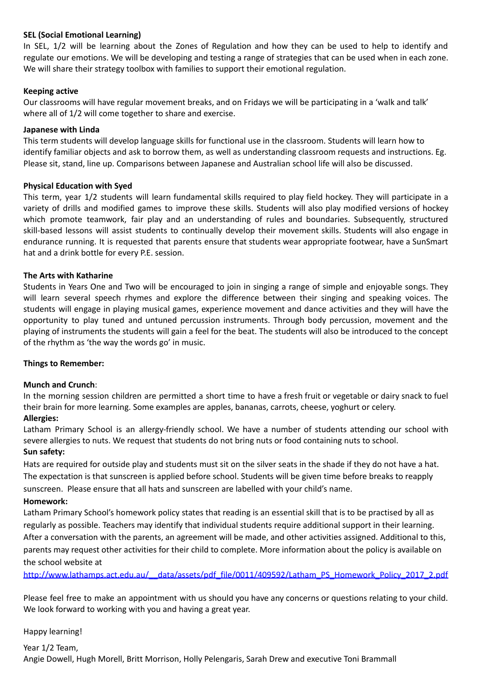## **SEL (Social Emotional Learning)**

In SEL, 1/2 will be learning about the Zones of Regulation and how they can be used to help to identify and regulate our emotions. We will be developing and testing a range of strategies that can be used when in each zone. We will share their strategy toolbox with families to support their emotional regulation.

#### **Keeping active**

Our classrooms will have regular movement breaks, and on Fridays we will be participating in a 'walk and talk' where all of 1/2 will come together to share and exercise.

## **Japanese with Linda**

This term students will develop language skills for functional use in the classroom. Students will learn how to identify familiar objects and ask to borrow them, as well as understanding classroom requests and instructions. Eg. Please sit, stand, line up. Comparisons between Japanese and Australian school life will also be discussed.

## **Physical Education with Syed**

This term, year 1/2 students will learn fundamental skills required to play field hockey. They will participate in a variety of drills and modified games to improve these skills. Students will also play modified versions of hockey which promote teamwork, fair play and an understanding of rules and boundaries. Subsequently, structured skill-based lessons will assist students to continually develop their movement skills. Students will also engage in endurance running. It is requested that parents ensure that students wear appropriate footwear, have a SunSmart hat and a drink bottle for every P.E. session.

## **The Arts with Katharine**

Students in Years One and Two will be encouraged to join in singing a range of simple and enjoyable songs. They will learn several speech rhymes and explore the difference between their singing and speaking voices. The students will engage in playing musical games, experience movement and dance activities and they will have the opportunity to play tuned and untuned percussion instruments. Through body percussion, movement and the playing of instruments the students will gain a feel for the beat. The students will also be introduced to the concept of the rhythm as 'the way the words go' in music.

#### **Things to Remember:**

#### **Munch and Crunch**:

In the morning session children are permitted a short time to have a fresh fruit or vegetable or dairy snack to fuel their brain for more learning. Some examples are apples, bananas, carrots, cheese, yoghurt or celery.

## **Allergies:**

Latham Primary School is an allergy-friendly school. We have a number of students attending our school with severe allergies to nuts. We request that students do not bring nuts or food containing nuts to school. **Sun safety:**

Hats are required for outside play and students must sit on the silver seats in the shade if they do not have a hat. The expectation is that sunscreen is applied before school. Students will be given time before breaks to reapply sunscreen. Please ensure that all hats and sunscreen are labelled with your child's name.

#### **Homework:**

Latham Primary School's homework policy states that reading is an essential skill that is to be practised by all as regularly as possible. Teachers may identify that individual students require additional support in their learning. After a conversation with the parents, an agreement will be made, and other activities assigned. Additional to this, parents may request other activities for their child to complete. More information about the policy is available on the school website at

http://www.lathamps.act.edu.au/ data/assets/pdf file/0011/409592/Latham\_PS\_Homework\_Policy\_2017\_2.pdf

Please feel free to make an appointment with us should you have any concerns or questions relating to your child. We look forward to working with you and having a great year.

#### Happy learning!

Year 1/2 Team, Angie Dowell, Hugh Morell, Britt Morrison, Holly Pelengaris, Sarah Drew and executive Toni Brammall